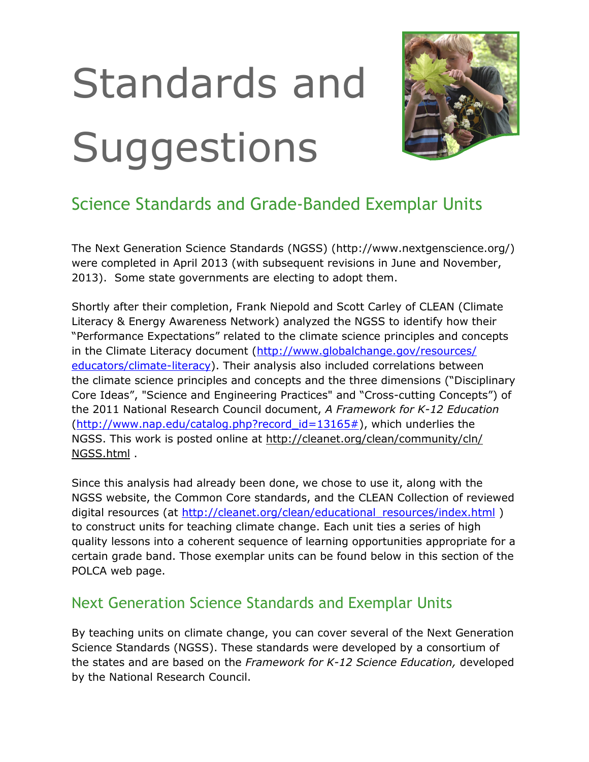# Standards and **Suggestions**



# Science Standards and Grade-Banded Exemplar Units

The Next Generation Science Standards (NGSS) (http://www.nextgenscience.org/) were completed in April 2013 (with subsequent revisions in June and November, 2013). Some state governments are electing to adopt them.

Shortly after their completion, Frank Niepold and Scott Carley of CLEAN (Climate Literacy & Energy Awareness Network) analyzed the NGSS to identify how their "Performance Expectations" related to the climate science principles and concepts in the Climate Literacy document ([http://www.globalchange.gov/resources/](http://www.globalchange.gov/resources/educators/climate-literacy) [educators/climate-literacy\)](http://www.globalchange.gov/resources/educators/climate-literacy). Their analysis also included correlations between the climate science principles and concepts and the three dimensions ("Disciplinary Core Ideas", "Science and Engineering Practices" and "Cross-cutting Concepts") of the 2011 National Research Council document, *A Framework for K-12 Education*  $(<http://www.nap.edu/catalog.php?record_id=13165#>), which underlies the$ NGSS. This work is posted online at [http://cleanet.org/clean/community/cln/](http://cleanet.org/clean/community/cln/NGSS.html) [NGSS.html](http://cleanet.org/clean/community/cln/NGSS.html) .

Since this analysis had already been done, we chose to use it, along with the NGSS website, the Common Core standards, and the CLEAN Collection of reviewed digital resources (at [http://cleanet.org/clean/educational\\_resources/index.html](http://cleanet.org/clean/educational_resources/index.html)) to construct units for teaching climate change. Each unit ties a series of high quality lessons into a coherent sequence of learning opportunities appropriate for a certain grade band. Those exemplar units can be found below in this section of the POLCA web page.

# Next Generation Science Standards and Exemplar Units

By teaching units on climate change, you can cover several of the Next Generation Science Standards (NGSS). These standards were developed by a consortium of the states and are based on the *Framework for K-12 Science Education,* developed by the National Research Council.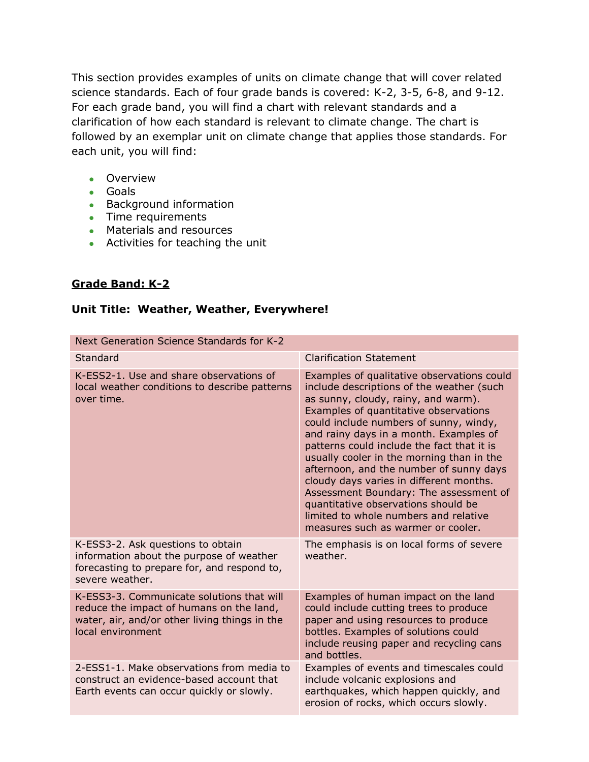This section provides examples of units on climate change that will cover related science standards. Each of four grade bands is covered: K-2, 3-5, 6-8, and 9-12. For each grade band, you will find a chart with relevant standards and a clarification of how each standard is relevant to climate change. The chart is followed by an exemplar unit on climate change that applies those standards. For each unit, you will find:

- Overview
- Goals
- **Background information**
- Time requirements
- **Materials and resources**
- Activities for teaching the unit

# **Grade Band: K-2**

#### **Unit Title: Weather, Weather, Everywhere!**

| Next Generation Science Standards for K-2                                                                                                                   |                                                                                                                                                                                                                                                                                                                                                                                                                                                                                                                                                                                                              |  |
|-------------------------------------------------------------------------------------------------------------------------------------------------------------|--------------------------------------------------------------------------------------------------------------------------------------------------------------------------------------------------------------------------------------------------------------------------------------------------------------------------------------------------------------------------------------------------------------------------------------------------------------------------------------------------------------------------------------------------------------------------------------------------------------|--|
| Standard                                                                                                                                                    | <b>Clarification Statement</b>                                                                                                                                                                                                                                                                                                                                                                                                                                                                                                                                                                               |  |
| K-ESS2-1. Use and share observations of<br>local weather conditions to describe patterns<br>over time.                                                      | Examples of qualitative observations could<br>include descriptions of the weather (such<br>as sunny, cloudy, rainy, and warm).<br>Examples of quantitative observations<br>could include numbers of sunny, windy,<br>and rainy days in a month. Examples of<br>patterns could include the fact that it is<br>usually cooler in the morning than in the<br>afternoon, and the number of sunny days<br>cloudy days varies in different months.<br>Assessment Boundary: The assessment of<br>quantitative observations should be<br>limited to whole numbers and relative<br>measures such as warmer or cooler. |  |
| K-ESS3-2. Ask questions to obtain<br>information about the purpose of weather<br>forecasting to prepare for, and respond to,<br>severe weather.             | The emphasis is on local forms of severe<br>weather.                                                                                                                                                                                                                                                                                                                                                                                                                                                                                                                                                         |  |
| K-ESS3-3. Communicate solutions that will<br>reduce the impact of humans on the land,<br>water, air, and/or other living things in the<br>local environment | Examples of human impact on the land<br>could include cutting trees to produce<br>paper and using resources to produce<br>bottles. Examples of solutions could<br>include reusing paper and recycling cans<br>and bottles.                                                                                                                                                                                                                                                                                                                                                                                   |  |
| 2-ESS1-1. Make observations from media to<br>construct an evidence-based account that<br>Earth events can occur quickly or slowly.                          | Examples of events and timescales could<br>include volcanic explosions and<br>earthquakes, which happen quickly, and<br>erosion of rocks, which occurs slowly.                                                                                                                                                                                                                                                                                                                                                                                                                                               |  |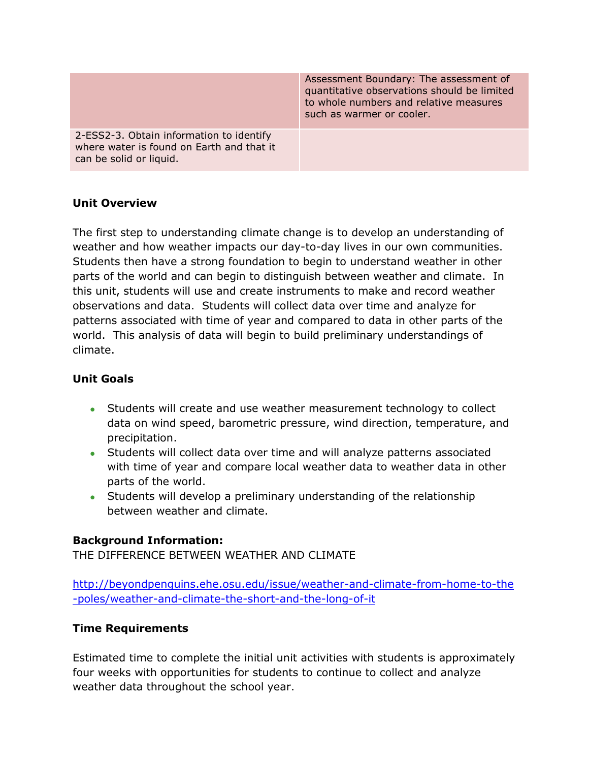|                                                                                                                  | Assessment Boundary: The assessment of<br>quantitative observations should be limited<br>to whole numbers and relative measures<br>such as warmer or cooler. |
|------------------------------------------------------------------------------------------------------------------|--------------------------------------------------------------------------------------------------------------------------------------------------------------|
| 2-ESS2-3. Obtain information to identify<br>where water is found on Earth and that it<br>can be solid or liquid. |                                                                                                                                                              |

#### **Unit Overview**

The first step to understanding climate change is to develop an understanding of weather and how weather impacts our day-to-day lives in our own communities. Students then have a strong foundation to begin to understand weather in other parts of the world and can begin to distinguish between weather and climate. In this unit, students will use and create instruments to make and record weather observations and data. Students will collect data over time and analyze for patterns associated with time of year and compared to data in other parts of the world. This analysis of data will begin to build preliminary understandings of climate.

#### **Unit Goals**

- Students will create and use weather measurement technology to collect data on wind speed, barometric pressure, wind direction, temperature, and precipitation.
- Students will collect data over time and will analyze patterns associated with time of year and compare local weather data to weather data in other parts of the world.
- Students will develop a preliminary understanding of the relationship between weather and climate.

#### **Background Information:**

THE DIFFERENCE BETWEEN WEATHER AND CLIMATE

[http://beyondpenguins.ehe.osu.edu/issue/weather-and-climate-from-home-to-the](http://beyondpenguins.ehe.osu.edu/issue/weather-and-climate-from-home-to-the-poles/weather-and-climate-the-short-and-the-long-of-it) [-poles/weather-and-climate-the-short-and-the-long-of-it](http://beyondpenguins.ehe.osu.edu/issue/weather-and-climate-from-home-to-the-poles/weather-and-climate-the-short-and-the-long-of-it)

#### **Time Requirements**

Estimated time to complete the initial unit activities with students is approximately four weeks with opportunities for students to continue to collect and analyze weather data throughout the school year.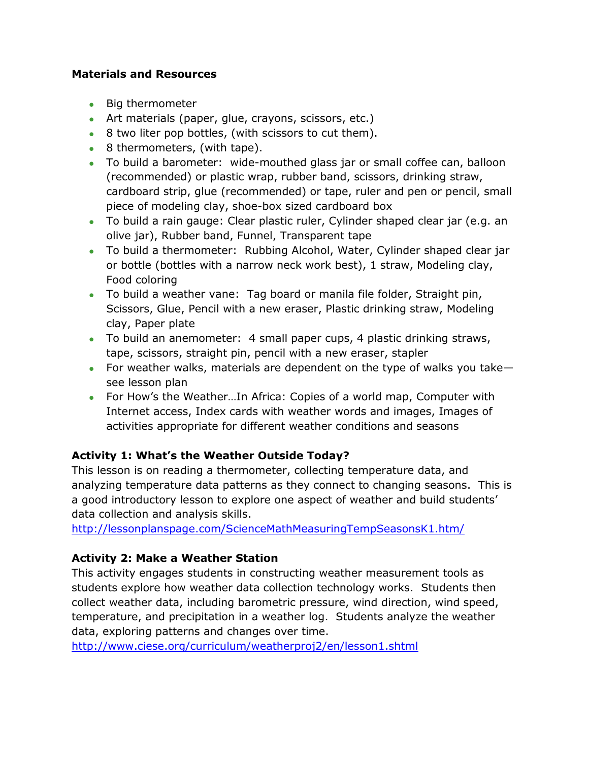#### **Materials and Resources**

- Big thermometer
- Art materials (paper, glue, crayons, scissors, etc.)
- 8 two liter pop bottles, (with scissors to cut them).
- 8 thermometers, (with tape).
- To build a barometer: wide-mouthed glass jar or small coffee can, balloon (recommended) or plastic wrap, rubber band, scissors, drinking straw, cardboard strip, glue (recommended) or tape, ruler and pen or pencil, small piece of modeling clay, shoe-box sized cardboard box
- To build a rain gauge: Clear plastic ruler, Cylinder shaped clear jar (e.g. an olive jar), Rubber band, Funnel, Transparent tape
- To build a thermometer: Rubbing Alcohol, Water, Cylinder shaped clear jar or bottle (bottles with a narrow neck work best), 1 straw, Modeling clay, Food coloring
- To build a weather vane: Tag board or manila file folder, Straight pin, Scissors, Glue, Pencil with a new eraser, Plastic drinking straw, Modeling clay, Paper plate
- To build an anemometer: 4 small paper cups, 4 plastic drinking straws, tape, scissors, straight pin, pencil with a new eraser, stapler
- For weather walks, materials are dependent on the type of walks you take see lesson plan
- For How's the Weather…In Africa: Copies of a world map, Computer with Internet access, Index cards with weather words and images, Images of activities appropriate for different weather conditions and seasons

#### **Activity 1: What's the Weather Outside Today?**

This lesson is on reading a thermometer, collecting temperature data, and analyzing temperature data patterns as they connect to changing seasons. This is a good introductory lesson to explore one aspect of weather and build students' data collection and analysis skills.

<http://lessonplanspage.com/ScienceMathMeasuringTempSeasonsK1.htm/>

#### **Activity 2: Make a Weather Station**

This activity engages students in constructing weather measurement tools as students explore how weather data collection technology works. Students then collect weather data, including barometric pressure, wind direction, wind speed, temperature, and precipitation in a weather log. Students analyze the weather data, exploring patterns and changes over time.

<http://www.ciese.org/curriculum/weatherproj2/en/lesson1.shtml>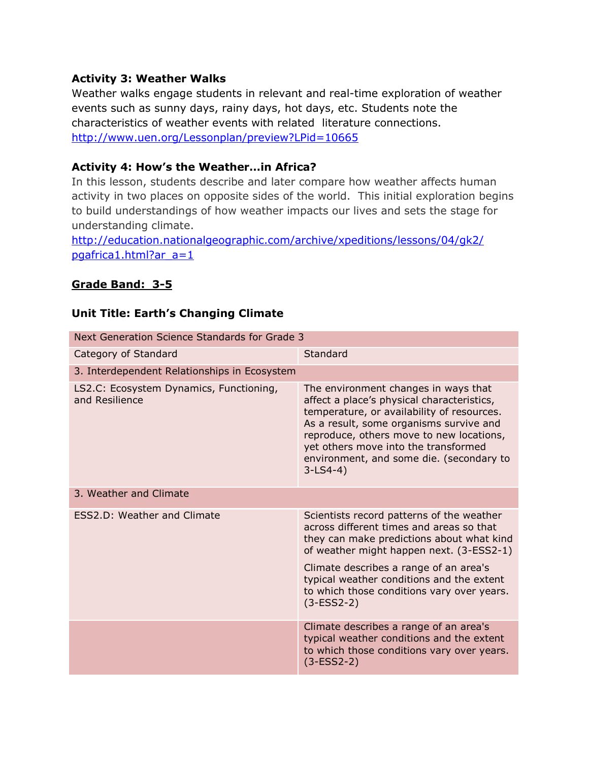#### **Activity 3: Weather Walks**

Weather walks engage students in relevant and real-time exploration of weather events such as sunny days, rainy days, hot days, etc. Students note the characteristics of weather events with related literature connections. <http://www.uen.org/Lessonplan/preview?LPid=10665>

#### **Activity 4: How's the Weather…in Africa?**

In this lesson, students describe and later compare how weather affects human activity in two places on opposite sides of the world. This initial exploration begins to build understandings of how weather impacts our lives and sets the stage for understanding climate.

[http://education.nationalgeographic.com/archive/xpeditions/lessons/04/gk2/](http://education.nationalgeographic.com/archive/xpeditions/lessons/04/gk2/pgafrica1.html?ar_a=1) [pgafrica1.html?ar\\_a=1](http://education.nationalgeographic.com/archive/xpeditions/lessons/04/gk2/pgafrica1.html?ar_a=1)

#### **Grade Band: 3-5**

#### **Unit Title: Earth's Changing Climate**

| Next Generation Science Standards for Grade 3             |                                                                                                                                                                                                                                                                                                                                     |
|-----------------------------------------------------------|-------------------------------------------------------------------------------------------------------------------------------------------------------------------------------------------------------------------------------------------------------------------------------------------------------------------------------------|
| Category of Standard                                      | Standard                                                                                                                                                                                                                                                                                                                            |
| 3. Interdependent Relationships in Ecosystem              |                                                                                                                                                                                                                                                                                                                                     |
| LS2.C: Ecosystem Dynamics, Functioning,<br>and Resilience | The environment changes in ways that<br>affect a place's physical characteristics,<br>temperature, or availability of resources.<br>As a result, some organisms survive and<br>reproduce, others move to new locations,<br>yet others move into the transformed<br>environment, and some die. (secondary to<br>$3-LS4-4)$           |
| 3. Weather and Climate                                    |                                                                                                                                                                                                                                                                                                                                     |
| <b>ESS2.D: Weather and Climate</b>                        | Scientists record patterns of the weather<br>across different times and areas so that<br>they can make predictions about what kind<br>of weather might happen next. (3-ESS2-1)<br>Climate describes a range of an area's<br>typical weather conditions and the extent<br>to which those conditions vary over years.<br>$(3-ESS2-2)$ |
|                                                           | Climate describes a range of an area's<br>typical weather conditions and the extent<br>to which those conditions vary over years.<br>$(3-ESS2-2)$                                                                                                                                                                                   |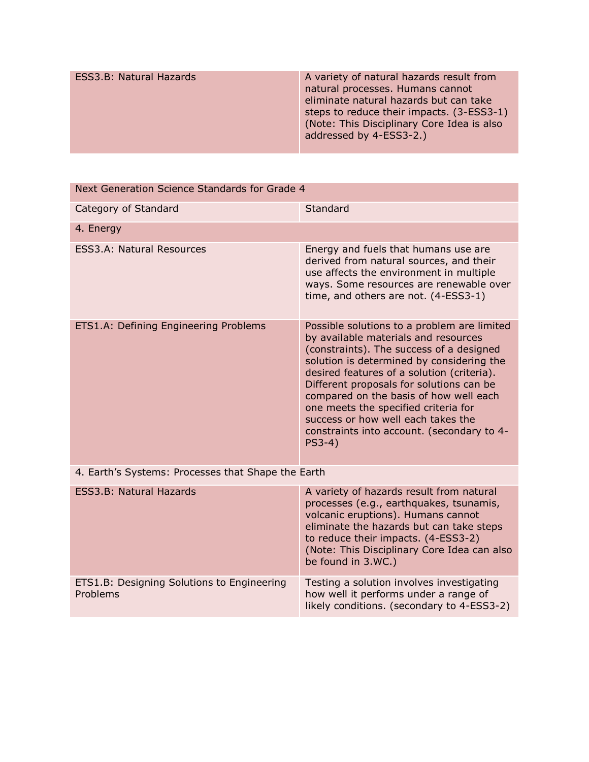| ESS3.B: Natural Hazards | A variety of natural hazards result from<br>natural processes. Humans cannot<br>eliminate natural hazards but can take<br>steps to reduce their impacts. (3-ESS3-1)<br>(Note: This Disciplinary Core Idea is also<br>addressed by 4-ESS3-2.) |
|-------------------------|----------------------------------------------------------------------------------------------------------------------------------------------------------------------------------------------------------------------------------------------|
|                         |                                                                                                                                                                                                                                              |

| Next Generation Science Standards for Grade 4          |                                                                                                                                                                                                                                                                                                                                                                                                                                                          |  |
|--------------------------------------------------------|----------------------------------------------------------------------------------------------------------------------------------------------------------------------------------------------------------------------------------------------------------------------------------------------------------------------------------------------------------------------------------------------------------------------------------------------------------|--|
| Category of Standard                                   | Standard                                                                                                                                                                                                                                                                                                                                                                                                                                                 |  |
| 4. Energy                                              |                                                                                                                                                                                                                                                                                                                                                                                                                                                          |  |
| <b>ESS3.A: Natural Resources</b>                       | Energy and fuels that humans use are<br>derived from natural sources, and their<br>use affects the environment in multiple<br>ways. Some resources are renewable over<br>time, and others are not. (4-ESS3-1)                                                                                                                                                                                                                                            |  |
| ETS1.A: Defining Engineering Problems                  | Possible solutions to a problem are limited<br>by available materials and resources<br>(constraints). The success of a designed<br>solution is determined by considering the<br>desired features of a solution (criteria).<br>Different proposals for solutions can be<br>compared on the basis of how well each<br>one meets the specified criteria for<br>success or how well each takes the<br>constraints into account. (secondary to 4-<br>$PS3-4)$ |  |
| 4. Earth's Systems: Processes that Shape the Earth     |                                                                                                                                                                                                                                                                                                                                                                                                                                                          |  |
| <b>ESS3.B: Natural Hazards</b>                         | A variety of hazards result from natural<br>processes (e.g., earthquakes, tsunamis,<br>volcanic eruptions). Humans cannot<br>eliminate the hazards but can take steps<br>to reduce their impacts. (4-ESS3-2)<br>(Note: This Disciplinary Core Idea can also<br>be found in 3.WC.)                                                                                                                                                                        |  |
| ETS1.B: Designing Solutions to Engineering<br>Problems | Testing a solution involves investigating<br>how well it performs under a range of<br>likely conditions. (secondary to 4-ESS3-2)                                                                                                                                                                                                                                                                                                                         |  |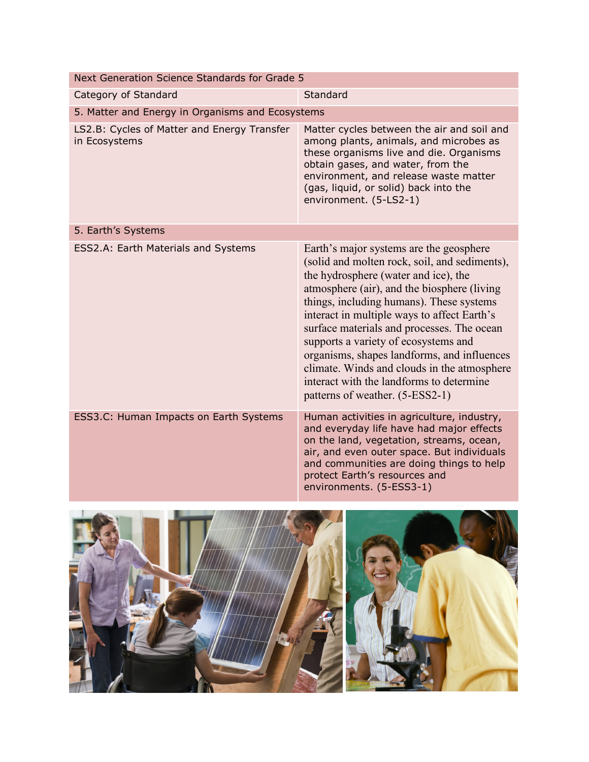| Next Generation Science Standards for Grade 5                |                                                                                                                                                                                                                                                                                                                                                                                                                                                                                                                                               |  |
|--------------------------------------------------------------|-----------------------------------------------------------------------------------------------------------------------------------------------------------------------------------------------------------------------------------------------------------------------------------------------------------------------------------------------------------------------------------------------------------------------------------------------------------------------------------------------------------------------------------------------|--|
| Standard<br>Category of Standard                             |                                                                                                                                                                                                                                                                                                                                                                                                                                                                                                                                               |  |
| 5. Matter and Energy in Organisms and Ecosystems             |                                                                                                                                                                                                                                                                                                                                                                                                                                                                                                                                               |  |
| LS2.B: Cycles of Matter and Energy Transfer<br>in Ecosystems | Matter cycles between the air and soil and<br>among plants, animals, and microbes as<br>these organisms live and die. Organisms<br>obtain gases, and water, from the<br>environment, and release waste matter<br>(gas, liquid, or solid) back into the<br>environment. (5-LS2-1)                                                                                                                                                                                                                                                              |  |
| 5. Earth's Systems                                           |                                                                                                                                                                                                                                                                                                                                                                                                                                                                                                                                               |  |
| ESS2.A: Earth Materials and Systems                          | Earth's major systems are the geosphere<br>(solid and molten rock, soil, and sediments),<br>the hydrosphere (water and ice), the<br>atmosphere (air), and the biosphere (living<br>things, including humans). These systems<br>interact in multiple ways to affect Earth's<br>surface materials and processes. The ocean<br>supports a variety of ecosystems and<br>organisms, shapes landforms, and influences<br>climate. Winds and clouds in the atmosphere<br>interact with the landforms to determine<br>patterns of weather. (5-ESS2-1) |  |
| ESS3.C: Human Impacts on Earth Systems                       | Human activities in agriculture, industry,<br>and everyday life have had major effects<br>on the land, vegetation, streams, ocean,<br>air, and even outer space. But individuals<br>and communities are doing things to help<br>protect Earth's resources and<br>environments. (5-ESS3-1)                                                                                                                                                                                                                                                     |  |

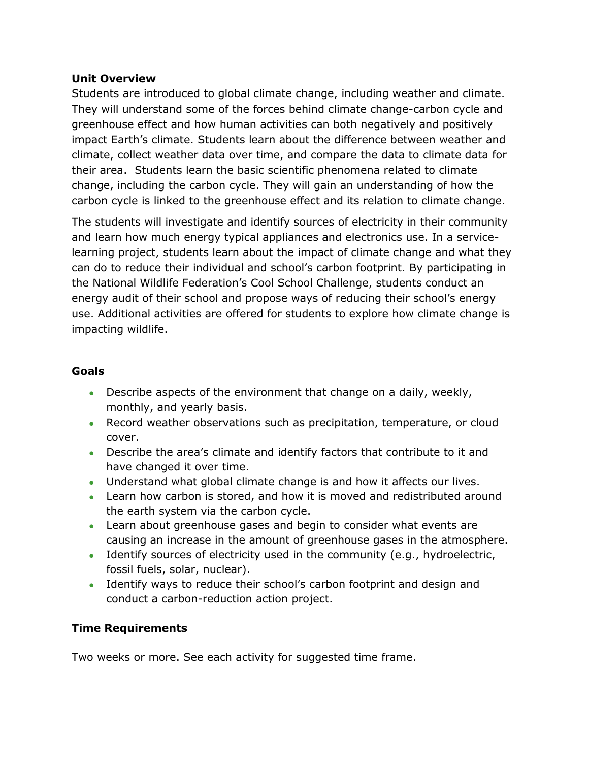#### **Unit Overview**

Students are introduced to global climate change, including weather and climate. They will understand some of the forces behind climate change-carbon cycle and greenhouse effect and how human activities can both negatively and positively impact Earth's climate. Students learn about the difference between weather and climate, collect weather data over time, and compare the data to climate data for their area. Students learn the basic scientific phenomena related to climate change, including the carbon cycle. They will gain an understanding of how the carbon cycle is linked to the greenhouse effect and its relation to climate change.

The students will investigate and identify sources of electricity in their community and learn how much energy typical appliances and electronics use. In a servicelearning project, students learn about the impact of climate change and what they can do to reduce their individual and school's carbon footprint. By participating in the National Wildlife Federation's Cool School Challenge, students conduct an energy audit of their school and propose ways of reducing their school's energy use. Additional activities are offered for students to explore how climate change is impacting wildlife.

#### **Goals**

- Describe aspects of the environment that change on a daily, weekly, monthly, and yearly basis.
- Record weather observations such as precipitation, temperature, or cloud cover.
- Describe the area's climate and identify factors that contribute to it and have changed it over time.
- Understand what global climate change is and how it affects our lives.
- Learn how carbon is stored, and how it is moved and redistributed around the earth system via the carbon cycle.
- Learn about greenhouse gases and begin to consider what events are causing an increase in the amount of greenhouse gases in the atmosphere.
- Identify sources of electricity used in the community (e.g., hydroelectric, fossil fuels, solar, nuclear).
- Identify ways to reduce their school's carbon footprint and design and conduct a carbon-reduction action project.

#### **Time Requirements**

Two weeks or more. See each activity for suggested time frame.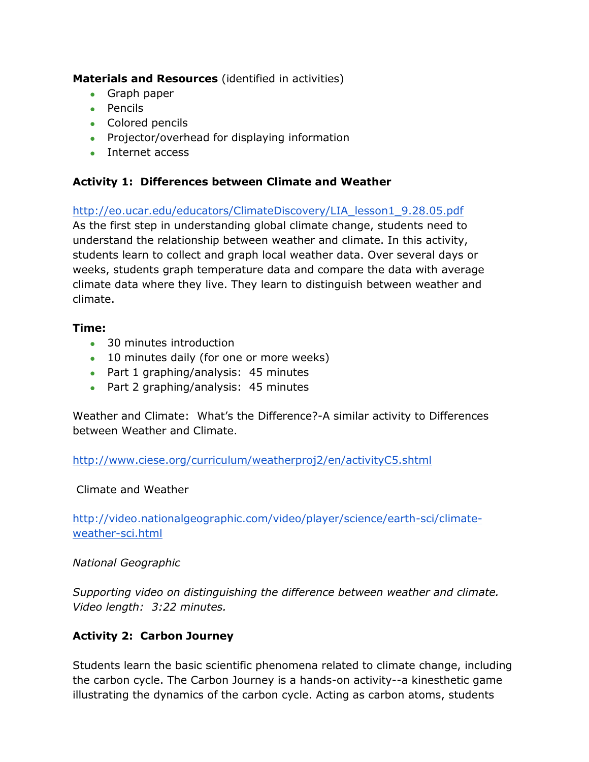**Materials and Resources** (identified in activities)

- Graph paper
- Pencils
- Colored pencils
- Projector/overhead for displaying information
- Internet access

# **Activity 1: Differences between Climate and Weather**

[http://eo.ucar.edu/educators/ClimateDiscovery/LIA\\_lesson1\\_9.28.05.pdf](http://eo.ucar.edu/educators/ClimateDiscovery/LIA_lesson1_9.28.05.pdf) As the first step in understanding global climate change, students need to understand the relationship between weather and climate. In this activity, students learn to collect and graph local weather data. Over several days or weeks, students graph temperature data and compare the data with average climate data where they live. They learn to distinguish between weather and climate.

#### **Time:**

- 30 minutes introduction
- 10 minutes daily (for one or more weeks)
- Part 1 graphing/analysis: 45 minutes
- Part 2 graphing/analysis: 45 minutes

Weather and Climate: What's the Difference?-A similar activity to Differences between Weather and Climate.

<http://www.ciese.org/curriculum/weatherproj2/en/activityC5.shtml>

#### Climate and Weather

[http://video.nationalgeographic.com/video/player/science/earth-sci/climate](http://video.nationalgeographic.com/video/player/science/earth-sci/climate-weather-sci.html)[weather-sci.html](http://video.nationalgeographic.com/video/player/science/earth-sci/climate-weather-sci.html)

#### *National Geographic*

*Supporting video on distinguishing the difference between weather and climate. Video length: 3:22 minutes.*

# **Activity 2: Carbon Journey**

Students learn the basic scientific phenomena related to climate change, including the carbon cycle. The Carbon Journey is a hands-on activity--a kinesthetic game illustrating the dynamics of the carbon cycle. Acting as carbon atoms, students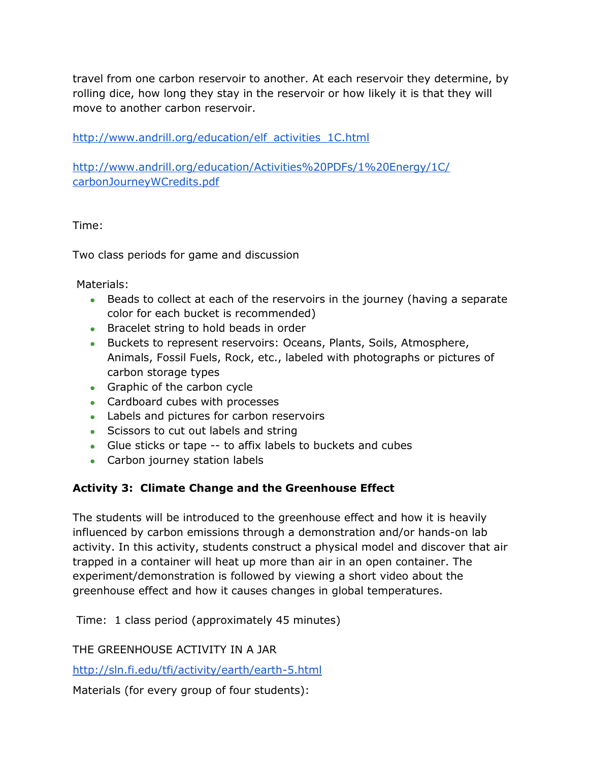travel from one carbon reservoir to another. At each reservoir they determine, by rolling dice, how long they stay in the reservoir or how likely it is that they will move to another carbon reservoir.

[http://www.andrill.org/education/elf\\_activities\\_1C.html](http://www.andrill.org/education/elf_activities_1C.html)

[http://www.andrill.org/education/Activities%20PDFs/1%20Energy/1C/](http://www.andrill.org/education/Activities%20PDFs/1%20Energy/1C/carbonJourneyWCredits.pdf) [carbonJourneyWCredits.pdf](http://www.andrill.org/education/Activities%20PDFs/1%20Energy/1C/carbonJourneyWCredits.pdf)

Time:

Two class periods for game and discussion

Materials:

- Beads to collect at each of the reservoirs in the journey (having a separate color for each bucket is recommended)
- **Bracelet string to hold beads in order**
- Buckets to represent reservoirs: Oceans, Plants, Soils, Atmosphere, Animals, Fossil Fuels, Rock, etc., labeled with photographs or pictures of carbon storage types
- Graphic of the carbon cycle
- Cardboard cubes with processes
- Labels and pictures for carbon reservoirs
- Scissors to cut out labels and string
- Glue sticks or tape -- to affix labels to buckets and cubes
- Carbon journey station labels

#### **Activity 3: Climate Change and the Greenhouse Effect**

The students will be introduced to the greenhouse effect and how it is heavily influenced by carbon emissions through a demonstration and/or hands-on lab activity. In this activity, students construct a physical model and discover that air trapped in a container will heat up more than air in an open container. The experiment/demonstration is followed by viewing a short video about the greenhouse effect and how it causes changes in global temperatures.

Time: 1 class period (approximately 45 minutes)

THE GREENHOUSE ACTIVITY IN A JAR

<http://sln.fi.edu/tfi/activity/earth/earth-5.html>

Materials (for every group of four students):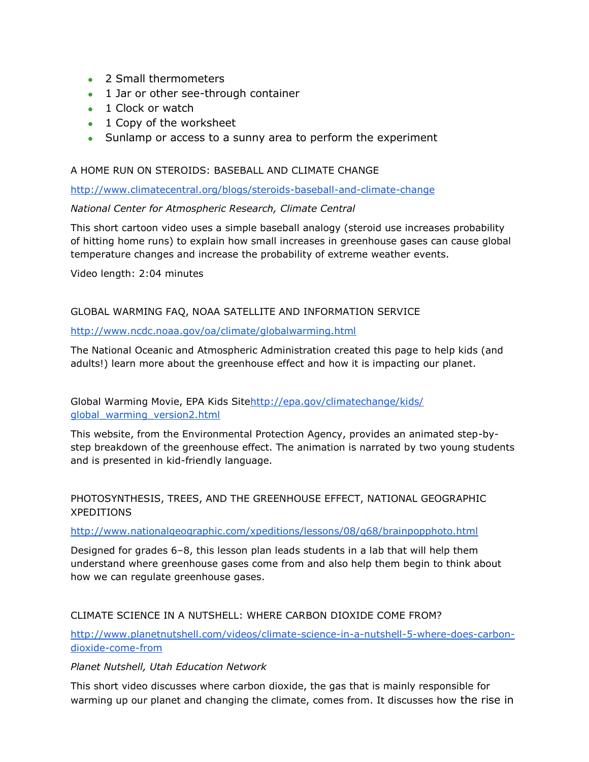- 2 Small thermometers
- 1 Jar or other see-through container
- 1 Clock or watch
- 1 Copy of the worksheet
- Sunlamp or access to a sunny area to perform the experiment

#### A HOME RUN ON STEROIDS: BASEBALL AND CLIMATE CHANGE

<http://www.climatecentral.org/blogs/steroids-baseball-and-climate-change>

#### *National Center for Atmospheric Research, Climate Central*

This short cartoon video uses a simple baseball analogy (steroid use increases probability of hitting home runs) to explain how small increases in greenhouse gases can cause global temperature changes and increase the probability of extreme weather events.

Video length: 2:04 minutes

#### GLOBAL WARMING FAQ, NOAA SATELLITE AND INFORMATION SERVICE

#### <http://www.ncdc.noaa.gov/oa/climate/globalwarming.html>

The National Oceanic and Atmospheric Administration created this page to help kids (and adults!) learn more about the greenhouse effect and how it is impacting our planet.

Global Warming Movie, EPA Kids Sit[ehttp://epa.gov/climatechange/kids/](http://epa.gov/climatechange/kids/global_warming_version2.html) [global\\_warming\\_version2.html](http://epa.gov/climatechange/kids/global_warming_version2.html)

This website, from the Environmental Protection Agency, provides an animated step-bystep breakdown of the greenhouse effect. The animation is narrated by two young students and is presented in kid-friendly language.

PHOTOSYNTHESIS, TREES, AND THE GREENHOUSE EFFECT, NATIONAL GEOGRAPHIC XPEDITIONS

#### <http://www.nationalgeographic.com/xpeditions/lessons/08/g68/brainpopphoto.html>

Designed for grades 6–8, this lesson plan leads students in a lab that will help them understand where greenhouse gases come from and also help them begin to think about how we can regulate greenhouse gases.

#### CLIMATE SCIENCE IN A NUTSHELL: WHERE CARBON DIOXIDE COME FROM?

[http://www.planetnutshell.com/videos/climate-science-in-a-nutshell-5-where-does-carbon](http://www.planetnutshell.com/videos/climate-science-in-a-nutshell-5-where-does-carbon-dioxide-come-from)[dioxide-come-from](http://www.planetnutshell.com/videos/climate-science-in-a-nutshell-5-where-does-carbon-dioxide-come-from)

#### *Planet Nutshell, Utah Education Network*

This short video discusses where carbon dioxide, the gas that is mainly responsible for warming up our planet and changing the climate, comes from. It discusses how the rise in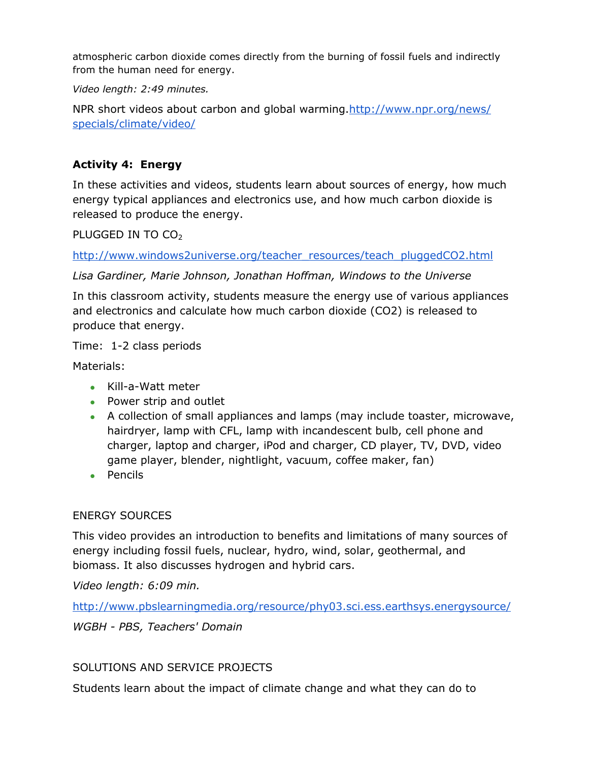atmospheric carbon dioxide comes directly from the burning of fossil fuels and indirectly from the human need for energy.

*Video length: 2:49 minutes.*

NPR short videos about carbon and global warming[.http://www.npr.org/news/](http://www.npr.org/news/specials/climate/video/) [specials/climate/video/](http://www.npr.org/news/specials/climate/video/)

#### **Activity 4: Energy**

In these activities and videos, students learn about sources of energy, how much energy typical appliances and electronics use, and how much carbon dioxide is released to produce the energy.

PLUGGED IN TO  $CO<sub>2</sub>$ 

[http://www.windows2universe.org/teacher\\_resources/teach\\_pluggedCO2.html](http://www.windows2universe.org/teacher_resources/teach_pluggedCO2.html)

*Lisa Gardiner, Marie Johnson, Jonathan Hoffman, Windows to the Universe*

In this classroom activity, students measure the energy use of various appliances and electronics and calculate how much carbon dioxide (CO2) is released to produce that energy.

Time: 1-2 class periods

Materials:

- Kill-a-Watt meter
- Power strip and outlet
- A collection of small appliances and lamps (may include toaster, microwave, hairdryer, lamp with CFL, lamp with incandescent bulb, cell phone and charger, laptop and charger, iPod and charger, CD player, TV, DVD, video game player, blender, nightlight, vacuum, coffee maker, fan)
- Pencils

#### ENERGY SOURCES

This video provides an introduction to benefits and limitations of many sources of energy including fossil fuels, nuclear, hydro, wind, solar, geothermal, and biomass. It also discusses hydrogen and hybrid cars.

*Video length: 6:09 min.*

<http://www.pbslearningmedia.org/resource/phy03.sci.ess.earthsys.energysource/>

*WGBH - PBS, Teachers' Domain*

#### SOLUTIONS AND SERVICE PROJECTS

Students learn about the impact of climate change and what they can do to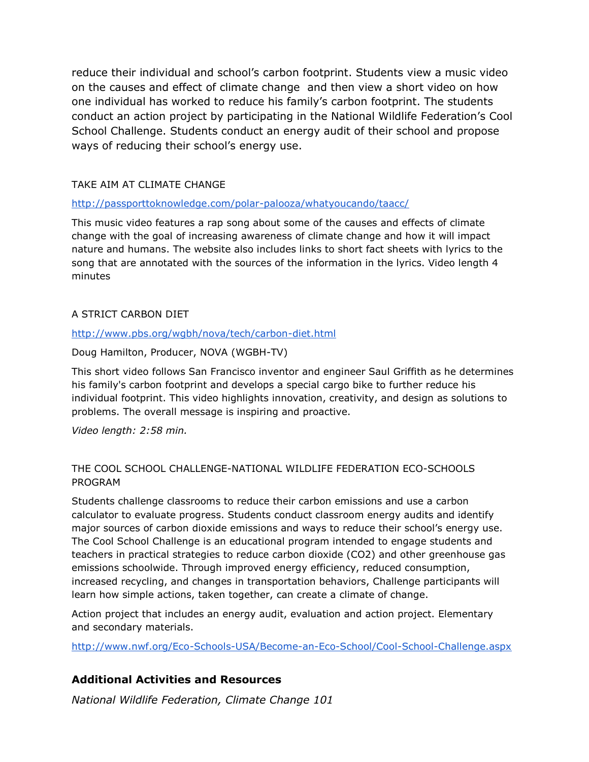reduce their individual and school's carbon footprint. Students view a music video on the causes and effect of climate change and then view a short video on how one individual has worked to reduce his family's carbon footprint. The students conduct an action project by participating in the National Wildlife Federation's Cool School Challenge. Students conduct an energy audit of their school and propose ways of reducing their school's energy use.

#### TAKE AIM AT CLIMATE CHANGE

#### <http://passporttoknowledge.com/polar-palooza/whatyoucando/taacc/>

This music video features a rap song about some of the causes and effects of climate change with the goal of increasing awareness of climate change and how it will impact nature and humans. The website also includes links to short fact sheets with lyrics to the song that are annotated with the sources of the information in the lyrics. Video length 4 minutes

#### A STRICT CARBON DIET

#### <http://www.pbs.org/wgbh/nova/tech/carbon-diet.html>

#### Doug Hamilton, Producer, NOVA (WGBH-TV)

This short video follows San Francisco inventor and engineer Saul Griffith as he determines his family's carbon footprint and develops a special cargo bike to further reduce his individual footprint. This video highlights innovation, creativity, and design as solutions to problems. The overall message is inspiring and proactive.

*Video length: 2:58 min.*

#### THE COOL SCHOOL CHALLENGE-NATIONAL WILDLIFE FEDERATION ECO-SCHOOLS PROGRAM

Students challenge classrooms to reduce their carbon emissions and use a carbon calculator to evaluate progress. Students conduct classroom energy audits and identify major sources of carbon dioxide emissions and ways to reduce their school's energy use. The Cool School Challenge is an educational program intended to engage students and teachers in practical strategies to reduce carbon dioxide (CO2) and other greenhouse gas emissions schoolwide. Through improved energy efficiency, reduced consumption, increased recycling, and changes in transportation behaviors, Challenge participants will learn how simple actions, taken together, can create a climate of change.

Action project that includes an energy audit, evaluation and action project. Elementary and secondary materials.

<http://www.nwf.org/Eco-Schools-USA/Become-an-Eco-School/Cool-School-Challenge.aspx>

#### **Additional Activities and Resources**

*National Wildlife Federation, Climate Change 101*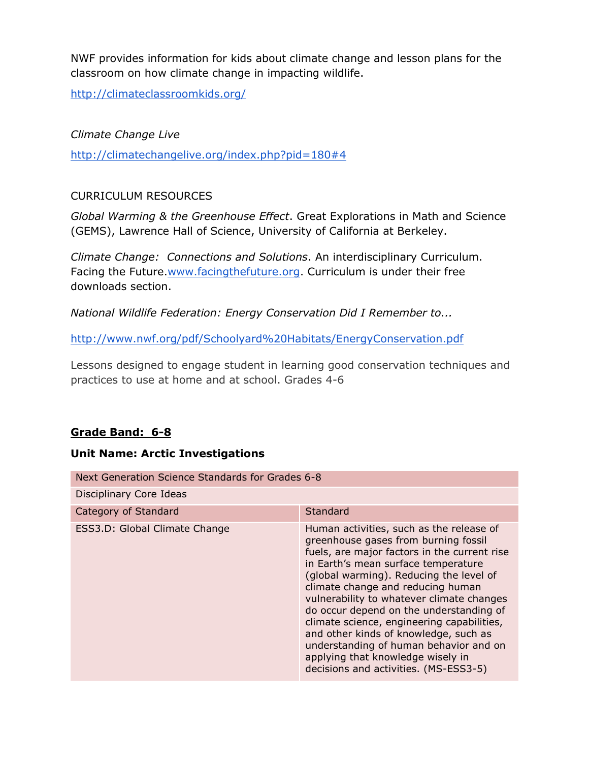NWF provides information for kids about climate change and lesson plans for the classroom on how climate change in impacting wildlife.

<http://climateclassroomkids.org/>

#### *Climate Change Live*

<http://climatechangelive.org/index.php?pid=180#4>

#### CURRICULUM RESOURCES

*Global Warming & the Greenhouse Effect*. Great Explorations in Math and Science (GEMS), Lawrence Hall of Science, University of California at Berkeley.

*Climate Change: Connections and Solutions*. An interdisciplinary Curriculum. Facing the Future[.www.facingthefuture.org.](http://www.facingthefuture.org/) Curriculum is under their free downloads section.

*National Wildlife Federation: Energy Conservation Did I Remember to...*

<http://www.nwf.org/pdf/Schoolyard%20Habitats/EnergyConservation.pdf>

Lessons designed to engage student in learning good conservation techniques and practices to use at home and at school. Grades 4-6

#### **Grade Band: 6-8**

#### **Unit Name: Arctic Investigations**

| Next Generation Science Standards for Grades 6-8 |                                                                                                                                                                                                                                                                                                                                                                                                                                                                                                                                                                |  |
|--------------------------------------------------|----------------------------------------------------------------------------------------------------------------------------------------------------------------------------------------------------------------------------------------------------------------------------------------------------------------------------------------------------------------------------------------------------------------------------------------------------------------------------------------------------------------------------------------------------------------|--|
| Disciplinary Core Ideas                          |                                                                                                                                                                                                                                                                                                                                                                                                                                                                                                                                                                |  |
| Category of Standard                             | Standard                                                                                                                                                                                                                                                                                                                                                                                                                                                                                                                                                       |  |
| ESS3.D: Global Climate Change                    | Human activities, such as the release of<br>greenhouse gases from burning fossil<br>fuels, are major factors in the current rise<br>in Earth's mean surface temperature<br>(global warming). Reducing the level of<br>climate change and reducing human<br>vulnerability to whatever climate changes<br>do occur depend on the understanding of<br>climate science, engineering capabilities,<br>and other kinds of knowledge, such as<br>understanding of human behavior and on<br>applying that knowledge wisely in<br>decisions and activities. (MS-ESS3-5) |  |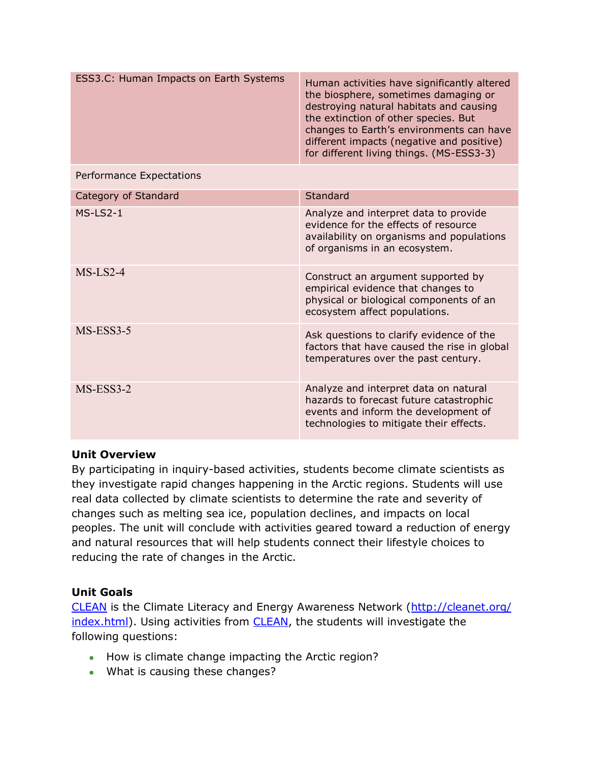| ESS3.C: Human Impacts on Earth Systems | Human activities have significantly altered<br>the biosphere, sometimes damaging or<br>destroying natural habitats and causing<br>the extinction of other species. But<br>changes to Earth's environments can have<br>different impacts (negative and positive)<br>for different living things. (MS-ESS3-3) |
|----------------------------------------|-------------------------------------------------------------------------------------------------------------------------------------------------------------------------------------------------------------------------------------------------------------------------------------------------------------|
| Performance Expectations               |                                                                                                                                                                                                                                                                                                             |
| Category of Standard                   | Standard                                                                                                                                                                                                                                                                                                    |
| $MS-LS2-1$                             | Analyze and interpret data to provide<br>evidence for the effects of resource<br>availability on organisms and populations<br>of organisms in an ecosystem.                                                                                                                                                 |
| $MS-LS2-4$                             | Construct an argument supported by<br>empirical evidence that changes to<br>physical or biological components of an<br>ecosystem affect populations.                                                                                                                                                        |
| MS-ESS3-5                              | Ask questions to clarify evidence of the<br>factors that have caused the rise in global<br>temperatures over the past century.                                                                                                                                                                              |
| $MS-ESS3-2$                            | Analyze and interpret data on natural<br>hazards to forecast future catastrophic<br>events and inform the development of<br>technologies to mitigate their effects.                                                                                                                                         |

#### **Unit Overview**

By participating in inquiry-based activities, students become climate scientists as they investigate rapid changes happening in the Arctic regions. Students will use real data collected by climate scientists to determine the rate and severity of changes such as melting sea ice, population declines, and impacts on local peoples. The unit will conclude with activities geared toward a reduction of energy and natural resources that will help students connect their lifestyle choices to reducing the rate of changes in the Arctic.

#### **Unit Goals**

[CLEAN](http://cleanet.org/index.html) is the Climate Literacy and Energy Awareness Network [\(http://cleanet.org/](http://cleanet.org/index.html) [index.html\)](http://cleanet.org/index.html). Using activities from **CLEAN**, the students will investigate the following questions:

- How is climate change impacting the Arctic region?
- What is causing these changes?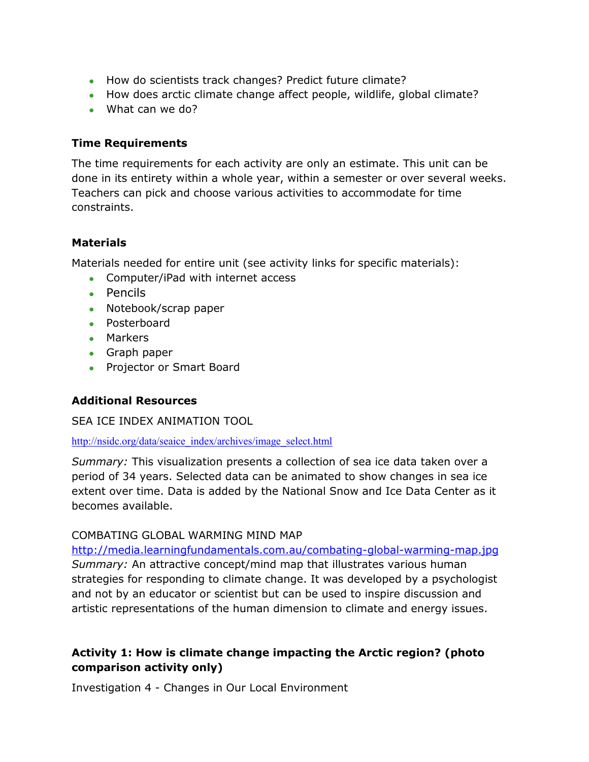- How do scientists track changes? Predict future climate?
- How does arctic climate change affect people, wildlife, global climate?
- What can we do?

#### **Time Requirements**

The time requirements for each activity are only an estimate. This unit can be done in its entirety within a whole year, within a semester or over several weeks. Teachers can pick and choose various activities to accommodate for time constraints.

#### **Materials**

Materials needed for entire unit (see activity links for specific materials):

- Computer/iPad with internet access
- Pencils
- Notebook/scrap paper
- Posterboard
- Markers
- Graph paper
- Projector or Smart Board

#### **Additional Resources**

#### SEA ICE INDEX ANIMATION TOOL

#### [http://nsidc.org/data/seaice\\_index/archives/image\\_select.html](http://nsidc.org/data/seaice_index/archives/image_select.html)

*Summary:* This visualization presents a collection of sea ice data taken over a period of 34 years. Selected data can be animated to show changes in sea ice extent over time. Data is added by the National Snow and Ice Data Center as it becomes available.

#### COMBATING GLOBAL WARMING MIND MAP

<http://media.learningfundamentals.com.au/combating-global-warming-map.jpg> *Summary:* An attractive concept/mind map that illustrates various human strategies for responding to climate change. It was developed by a psychologist and not by an educator or scientist but can be used to inspire discussion and artistic representations of the human dimension to climate and energy issues.

#### **Activity 1: How is climate change impacting the Arctic region? (photo comparison activity only)**

Investigation 4 - Changes in Our Local Environment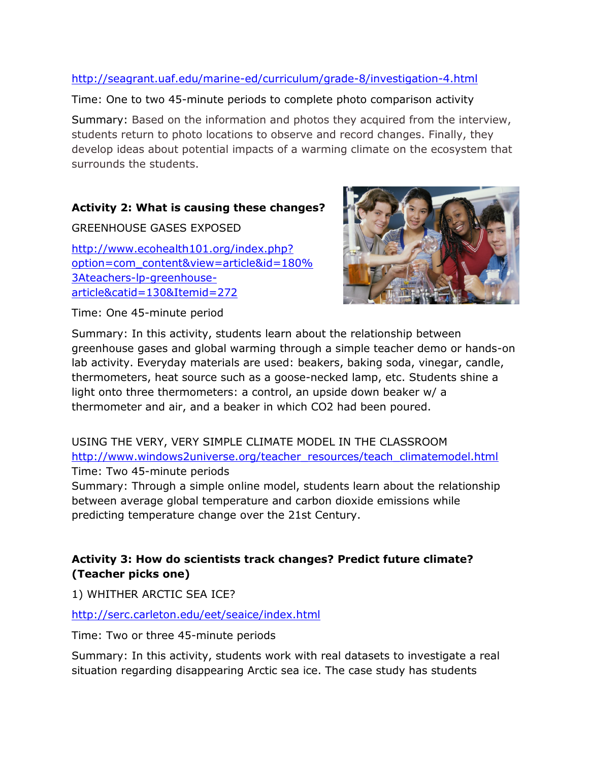#### <http://seagrant.uaf.edu/marine-ed/curriculum/grade-8/investigation-4.html>

Time: One to two 45-minute periods to complete photo comparison activity

Summary: Based on the information and photos they acquired from the interview, students return to photo locations to observe and record changes. Finally, they develop ideas about potential impacts of a warming climate on the ecosystem that surrounds the students.

#### **Activity 2: What is causing these changes?**

GREENHOUSE GASES EXPOSED [http://www.ecohealth101.org/index.php?](http://www.ecohealth101.org/index.php?option=com_content&view=article&id=180%3Ateachers-lp-greenhouse-article&catid=130&Itemid=272) [option=com\\_content&view=article&id=180%](http://www.ecohealth101.org/index.php?option=com_content&view=article&id=180%3Ateachers-lp-greenhouse-article&catid=130&Itemid=272) [3Ateachers-lp-greenhouse](http://www.ecohealth101.org/index.php?option=com_content&view=article&id=180%3Ateachers-lp-greenhouse-article&catid=130&Itemid=272)[article&catid=130&Itemid=272](http://www.ecohealth101.org/index.php?option=com_content&view=article&id=180%3Ateachers-lp-greenhouse-article&catid=130&Itemid=272)



Time: One 45-minute period

Summary: In this activity, students learn about the relationship between greenhouse gases and global warming through a simple teacher demo or hands-on lab activity. Everyday materials are used: beakers, baking soda, vinegar, candle, thermometers, heat source such as a goose-necked lamp, etc. Students shine a light onto three thermometers: a control, an upside down beaker w/ a thermometer and air, and a beaker in which CO2 had been poured.

USING THE VERY, VERY SIMPLE CLIMATE MODEL IN THE CLASSROOM [http://www.windows2universe.org/teacher\\_resources/teach\\_climatemodel.html](http://www.windows2universe.org/teacher_resources/teach_climatemodel.html) Time: Two 45-minute periods

Summary: Through a simple online model, students learn about the relationship between average global temperature and carbon dioxide emissions while predicting temperature change over the 21st Century.

#### **Activity 3: How do scientists track changes? Predict future climate? (Teacher picks one)**

1) WHITHER ARCTIC SEA ICE?

<http://serc.carleton.edu/eet/seaice/index.html>

Time: Two or three 45-minute periods

Summary: In this activity, students work with real datasets to investigate a real situation regarding disappearing Arctic sea ice. The case study has students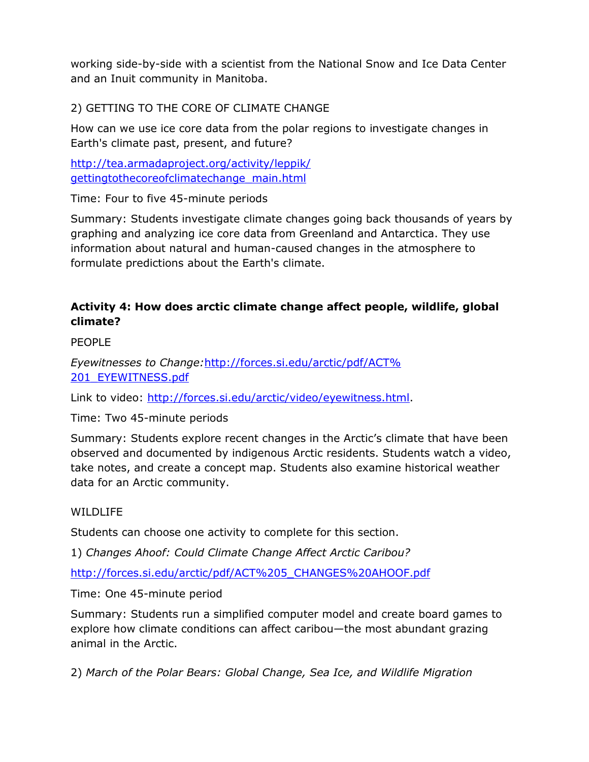working side-by-side with a scientist from the National Snow and Ice Data Center and an Inuit community in Manitoba.

# 2) GETTING TO THE CORE OF CLIMATE CHANGE

How can we use ice core data from the polar regions to investigate changes in Earth's climate past, present, and future?

[http://tea.armadaproject.org/activity/leppik/](http://tea.armadaproject.org/activity/leppik/gettingtothecoreofclimatechange_main.html) [gettingtothecoreofclimatechange\\_main.html](http://tea.armadaproject.org/activity/leppik/gettingtothecoreofclimatechange_main.html)

Time: Four to five 45-minute periods

Summary: Students investigate climate changes going back thousands of years by graphing and analyzing ice core data from Greenland and Antarctica. They use information about natural and human-caused changes in the atmosphere to formulate predictions about the Earth's climate.

#### **Activity 4: How does arctic climate change affect people, wildlife, global climate?**

PFOPLE

*Eyewitnesses to Change:*[http://forces.si.edu/arctic/pdf/ACT%](http://forces.si.edu/arctic/pdf/ACT%201_EYEWITNESS.pdf) [201\\_EYEWITNESS.pdf](http://forces.si.edu/arctic/pdf/ACT%201_EYEWITNESS.pdf)

Link to video: [http://forces.si.edu/arctic/video/eyewitness.html.](http://forces.si.edu/arctic/video/eyewitness.html)

Time: Two 45-minute periods

Summary: Students explore recent changes in the Arctic's climate that have been observed and documented by indigenous Arctic residents. Students watch a video, take notes, and create a concept map. Students also examine historical weather data for an Arctic community.

#### WILDLIFE

Students can choose one activity to complete for this section.

1) *Changes Ahoof: Could Climate Change Affect Arctic Caribou?*

[http://forces.si.edu/arctic/pdf/ACT%205\\_CHANGES%20AHOOF.pdf](http://forces.si.edu/arctic/pdf/ACT%205_CHANGES%20AHOOF.pdf) 

Time: One 45-minute period

Summary: Students run a simplified computer model and create board games to explore how climate conditions can affect caribou—the most abundant grazing animal in the Arctic.

2) *March of the Polar Bears: Global Change, Sea Ice, and Wildlife Migration*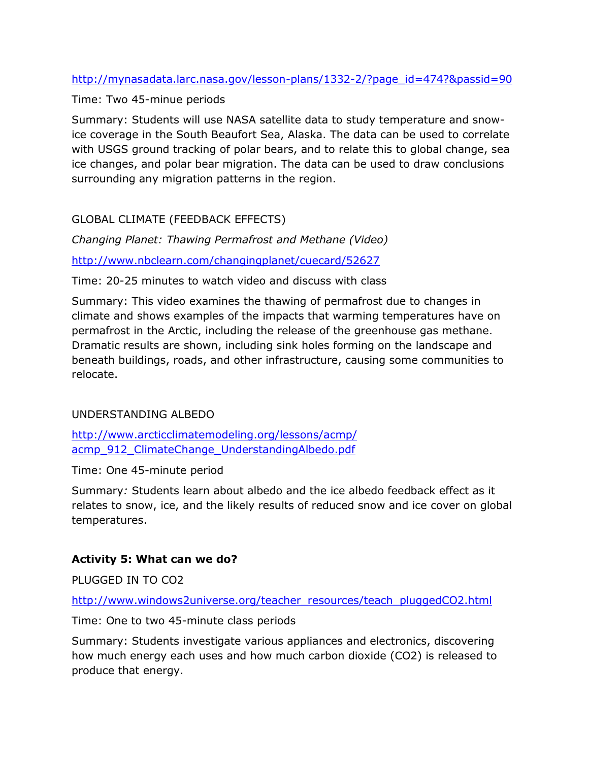#### [http://mynasadata.larc.nasa.gov/lesson-plans/1332-2/?page\\_id=474?&passid=90](http://mynasadata.larc.nasa.gov/lesson-plans/1332-2/?page_id=474?&passid=90)

#### Time: Two 45-minue periods

Summary: Students will use NASA satellite data to study temperature and snowice coverage in the South Beaufort Sea, Alaska. The data can be used to correlate with USGS ground tracking of polar bears, and to relate this to global change, sea ice changes, and polar bear migration. The data can be used to draw conclusions surrounding any migration patterns in the region.

# GLOBAL CLIMATE (FEEDBACK EFFECTS)

*Changing Planet: Thawing Permafrost and Methane (Video)* <http://www.nbclearn.com/changingplanet/cuecard/52627>

Time: 20-25 minutes to watch video and discuss with class

Summary: This video examines the thawing of permafrost due to changes in climate and shows examples of the impacts that warming temperatures have on permafrost in the Arctic, including the release of the greenhouse gas methane. Dramatic results are shown, including sink holes forming on the landscape and beneath buildings, roads, and other infrastructure, causing some communities to relocate.

#### UNDERSTANDING ALBEDO

[http://www.arcticclimatemodeling.org/lessons/acmp/](http://www.arcticclimatemodeling.org/lessons/acmp/acmp_912_ClimateChange_UnderstandingAlbedo.pdf) [acmp\\_912\\_ClimateChange\\_UnderstandingAlbedo.pdf](http://www.arcticclimatemodeling.org/lessons/acmp/acmp_912_ClimateChange_UnderstandingAlbedo.pdf)

Time: One 45-minute period

Summary*:* Students learn about albedo and the ice albedo feedback effect as it relates to snow, ice, and the likely results of reduced snow and ice cover on global temperatures.

#### **Activity 5: What can we do?**

PLUGGED IN TO CO2

[http://www.windows2universe.org/teacher\\_resources/teach\\_pluggedCO2.html](http://www.windows2universe.org/teacher_resources/teach_pluggedCO2.html)

Time: One to two 45-minute class periods

Summary: Students investigate various appliances and electronics, discovering how much energy each uses and how much carbon dioxide (CO2) is released to produce that energy.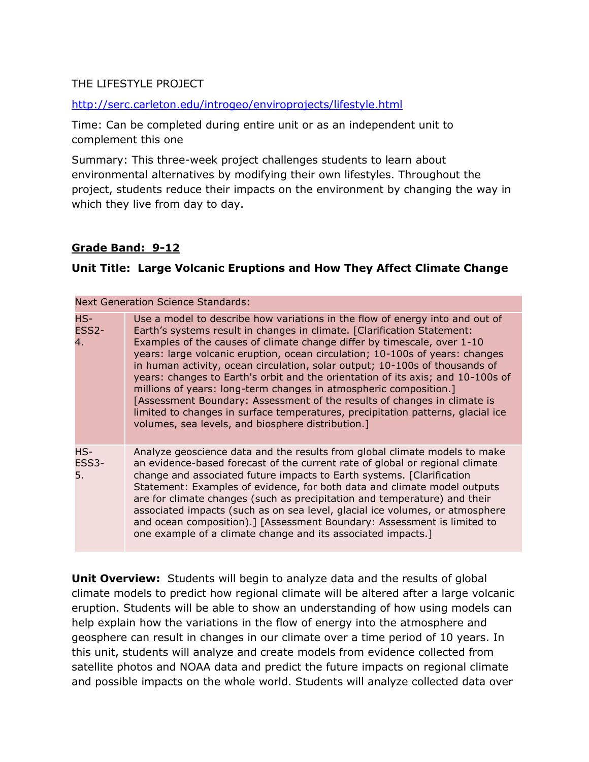#### THE LIFESTYLE PROJECT

#### <http://serc.carleton.edu/introgeo/enviroprojects/lifestyle.html>

Time: Can be completed during entire unit or as an independent unit to complement this one

Summary: This three-week project challenges students to learn about environmental alternatives by modifying their own lifestyles. Throughout the project, students reduce their impacts on the environment by changing the way in which they live from day to day.

#### **Grade Band: 9-12**

#### **Unit Title: Large Volcanic Eruptions and How They Affect Climate Change**

| <b>Next Generation Science Standards:</b> |                                                                                                                                                                                                                                                                                                                                                                                                                                                                                                                                                                                                                                                                                                                                                                               |  |
|-------------------------------------------|-------------------------------------------------------------------------------------------------------------------------------------------------------------------------------------------------------------------------------------------------------------------------------------------------------------------------------------------------------------------------------------------------------------------------------------------------------------------------------------------------------------------------------------------------------------------------------------------------------------------------------------------------------------------------------------------------------------------------------------------------------------------------------|--|
| $HS-$<br>ESS <sub>2</sub> -<br>4.         | Use a model to describe how variations in the flow of energy into and out of<br>Earth's systems result in changes in climate. [Clarification Statement:<br>Examples of the causes of climate change differ by timescale, over 1-10<br>years: large volcanic eruption, ocean circulation; 10-100s of years: changes<br>in human activity, ocean circulation, solar output; 10-100s of thousands of<br>years: changes to Earth's orbit and the orientation of its axis; and 10-100s of<br>millions of years: long-term changes in atmospheric composition.]<br>[Assessment Boundary: Assessment of the results of changes in climate is<br>limited to changes in surface temperatures, precipitation patterns, glacial ice<br>volumes, sea levels, and biosphere distribution.] |  |
| $HS-$<br>ESS3-<br>5.                      | Analyze geoscience data and the results from global climate models to make<br>an evidence-based forecast of the current rate of global or regional climate<br>change and associated future impacts to Earth systems. [Clarification<br>Statement: Examples of evidence, for both data and climate model outputs<br>are for climate changes (such as precipitation and temperature) and their<br>associated impacts (such as on sea level, glacial ice volumes, or atmosphere<br>and ocean composition).] [Assessment Boundary: Assessment is limited to<br>one example of a climate change and its associated impacts.]                                                                                                                                                       |  |

**Unit Overview:** Students will begin to analyze data and the results of global climate models to predict how regional climate will be altered after a large volcanic eruption. Students will be able to show an understanding of how using models can help explain how the variations in the flow of energy into the atmosphere and geosphere can result in changes in our climate over a time period of 10 years. In this unit, students will analyze and create models from evidence collected from satellite photos and NOAA data and predict the future impacts on regional climate and possible impacts on the whole world. Students will analyze collected data over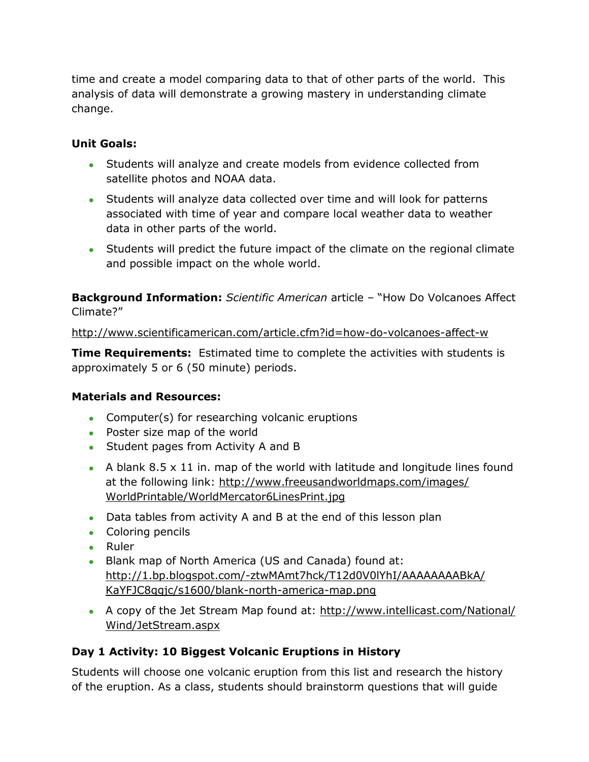time and create a model comparing data to that of other parts of the world. This analysis of data will demonstrate a growing mastery in understanding climate change.

#### **Unit Goals:**

- Students will analyze and create models from evidence collected from satellite photos and NOAA data.
- Students will analyze data collected over time and will look for patterns associated with time of year and compare local weather data to weather data in other parts of the world.
- Students will predict the future impact of the climate on the regional climate and possible impact on the whole world.

**Background Information:** *Scientific American* article – "How Do Volcanoes Affect Climate?"

<http://www.scientificamerican.com/article.cfm?id=how-do-volcanoes-affect-w>

**Time Requirements:** Estimated time to complete the activities with students is approximately 5 or 6 (50 minute) periods.

#### **Materials and Resources:**

- Computer(s) for researching volcanic eruptions
- Poster size map of the world
- Student pages from Activity A and B
- A blank 8.5  $\times$  11 in. map of the world with latitude and longitude lines found at the following link: [http://www.freeusandworldmaps.com/images/](http://www.freeusandworldmaps.com/images/WorldPrintable/WorldMercator6LinesPrint.jpg) [WorldPrintable/WorldMercator6LinesPrint.jpg](http://www.freeusandworldmaps.com/images/WorldPrintable/WorldMercator6LinesPrint.jpg)
- Data tables from activity A and B at the end of this lesson plan
- Coloring pencils
- Ruler
- Blank map of North America (US and Canada) found at: [http://1.bp.blogspot.com/-ztwMAmt7hck/T12d0V0lYhI/AAAAAAAABkA/](http://1.bp.blogspot.com/-ztwMAmt7hck/T12d0V0lYhI/AAAAAAAABkA/KaYFJC8qgjc/s1600/blank-north-america-map.png) [KaYFJC8qgjc/s1600/blank-north-america-map.png](http://1.bp.blogspot.com/-ztwMAmt7hck/T12d0V0lYhI/AAAAAAAABkA/KaYFJC8qgjc/s1600/blank-north-america-map.png)
- A copy of the Jet Stream Map found at: [http://www.intellicast.com/National/](http://www.intellicast.com/National/Wind/JetStream.aspx) [Wind/JetStream.aspx](http://www.intellicast.com/National/Wind/JetStream.aspx)

#### **Day 1 Activity: 10 Biggest Volcanic Eruptions in History**

Students will choose one volcanic eruption from this list and research the history of the eruption. As a class, students should brainstorm questions that will guide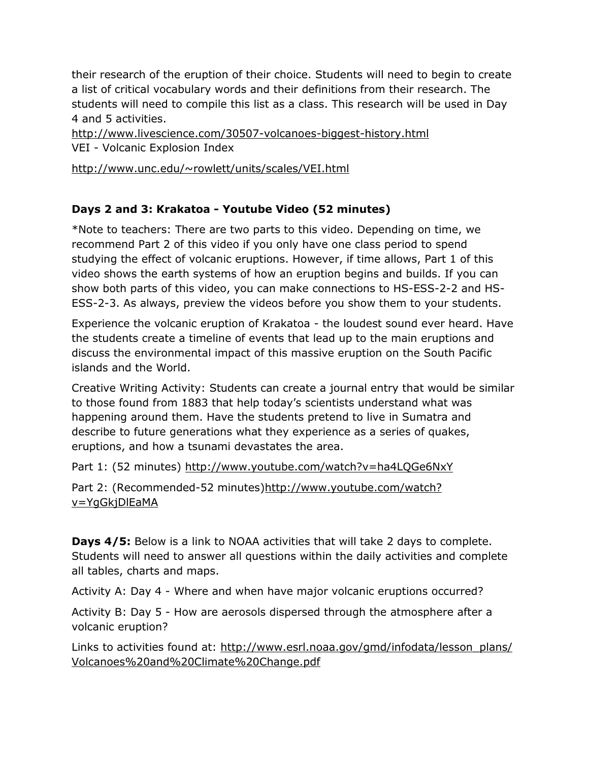their research of the eruption of their choice. Students will need to begin to create a list of critical vocabulary words and their definitions from their research. The students will need to compile this list as a class. This research will be used in Day 4 and 5 activities.

<http://www.livescience.com/30507-volcanoes-biggest-history.html> VEI - Volcanic Explosion Index

<http://www.unc.edu/~rowlett/units/scales/VEI.html>

# **Days 2 and 3: Krakatoa - Youtube Video (52 minutes)**

\*Note to teachers: There are two parts to this video. Depending on time, we recommend Part 2 of this video if you only have one class period to spend studying the effect of volcanic eruptions. However, if time allows, Part 1 of this video shows the earth systems of how an eruption begins and builds. If you can show both parts of this video, you can make connections to HS-ESS-2-2 and HS-ESS-2-3. As always, preview the videos before you show them to your students.

Experience the volcanic eruption of Krakatoa - the loudest sound ever heard. Have the students create a timeline of events that lead up to the main eruptions and discuss the environmental impact of this massive eruption on the South Pacific islands and the World.

Creative Writing Activity: Students can create a journal entry that would be similar to those found from 1883 that help today's scientists understand what was happening around them. Have the students pretend to live in Sumatra and describe to future generations what they experience as a series of quakes, eruptions, and how a tsunami devastates the area.

Part 1: (52 minutes) <http://www.youtube.com/watch?v=ha4LQGe6NxY>

Part 2: (Recommended-52 minutes[\)http://www.youtube.com/watch?](http://www.youtube.com/watch?v=YgGkjDlEaMA) [v=YgGkjDlEaMA](http://www.youtube.com/watch?v=YgGkjDlEaMA)

**Days 4/5:** Below is a link to NOAA activities that will take 2 days to complete. Students will need to answer all questions within the daily activities and complete all tables, charts and maps.

Activity A: Day 4 - Where and when have major volcanic eruptions occurred?

Activity B: Day 5 - How are aerosols dispersed through the atmosphere after a volcanic eruption?

Links to activities found at: [http://www.esrl.noaa.gov/gmd/infodata/lesson\\_plans/](http://www.esrl.noaa.gov/gmd/infodata/lesson_plans/Volcanoes%20and%20Climate%20Change.pdf) [Volcanoes%20and%20Climate%20Change.pdf](http://www.esrl.noaa.gov/gmd/infodata/lesson_plans/Volcanoes%20and%20Climate%20Change.pdf)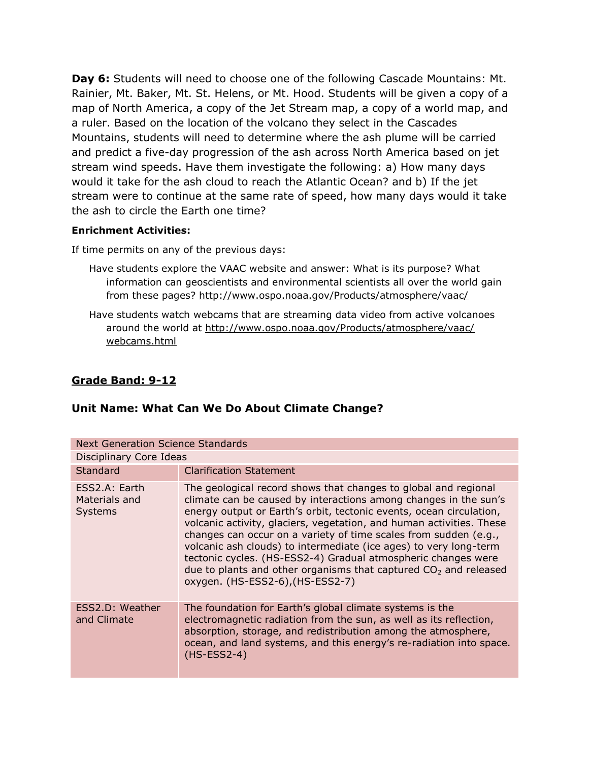**Day 6:** Students will need to choose one of the following Cascade Mountains: Mt. Rainier, Mt. Baker, Mt. St. Helens, or Mt. Hood. Students will be given a copy of a map of North America, a copy of the Jet Stream map, a copy of a world map, and a ruler. Based on the location of the volcano they select in the Cascades Mountains, students will need to determine where the ash plume will be carried and predict a five-day progression of the ash across North America based on jet stream wind speeds. Have them investigate the following: a) How many days would it take for the ash cloud to reach the Atlantic Ocean? and b) If the jet stream were to continue at the same rate of speed, how many days would it take the ash to circle the Earth one time?

#### **Enrichment Activities:**

If time permits on any of the previous days:

- Have students explore the VAAC website and answer: What is its purpose? What information can geoscientists and environmental scientists all over the world gain from these pages?<http://www.ospo.noaa.gov/Products/atmosphere/vaac/>
- Have students watch webcams that are streaming data video from active volcanoes around the world at [http://www.ospo.noaa.gov/Products/atmosphere/vaac/](http://www.ospo.noaa.gov/Products/atmosphere/vaac/webcams.html) [webcams.html](http://www.ospo.noaa.gov/Products/atmosphere/vaac/webcams.html)

#### **Grade Band: 9-12**

#### **Unit Name: What Can We Do About Climate Change?**

| <b>Next Generation Science Standards</b>         |                                                                                                                                                                                                                                                                                                                                                                                                                                                                                                                                                                                                        |
|--------------------------------------------------|--------------------------------------------------------------------------------------------------------------------------------------------------------------------------------------------------------------------------------------------------------------------------------------------------------------------------------------------------------------------------------------------------------------------------------------------------------------------------------------------------------------------------------------------------------------------------------------------------------|
| Disciplinary Core Ideas                          |                                                                                                                                                                                                                                                                                                                                                                                                                                                                                                                                                                                                        |
| <b>Standard</b>                                  | <b>Clarification Statement</b>                                                                                                                                                                                                                                                                                                                                                                                                                                                                                                                                                                         |
| ESS2.A: Earth<br>Materials and<br><b>Systems</b> | The geological record shows that changes to global and regional<br>climate can be caused by interactions among changes in the sun's<br>energy output or Earth's orbit, tectonic events, ocean circulation,<br>volcanic activity, glaciers, vegetation, and human activities. These<br>changes can occur on a variety of time scales from sudden (e.g.,<br>volcanic ash clouds) to intermediate (ice ages) to very long-term<br>tectonic cycles. (HS-ESS2-4) Gradual atmospheric changes were<br>due to plants and other organisms that captured $CO2$ and released<br>oxygen. (HS-ESS2-6), (HS-ESS2-7) |
| ESS2.D: Weather<br>and Climate                   | The foundation for Earth's global climate systems is the<br>electromagnetic radiation from the sun, as well as its reflection,<br>absorption, storage, and redistribution among the atmosphere,<br>ocean, and land systems, and this energy's re-radiation into space.<br>$(HS-ESS2-4)$                                                                                                                                                                                                                                                                                                                |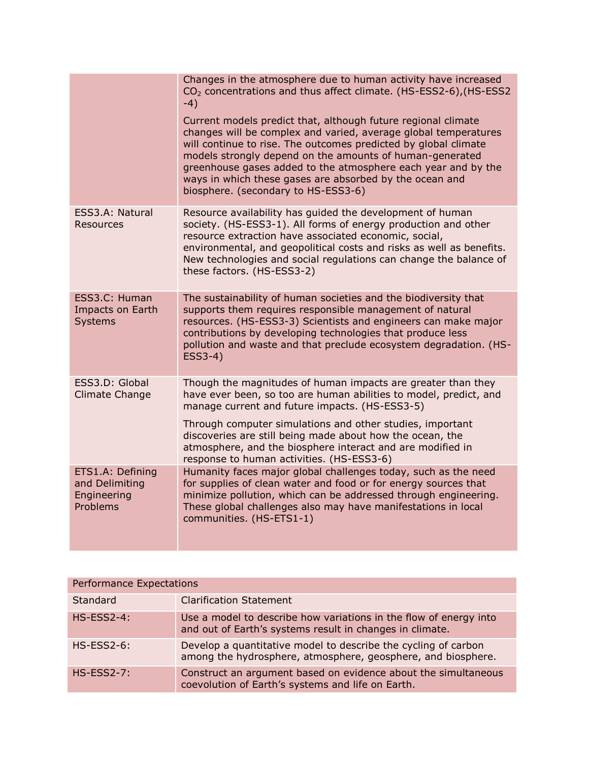|                                                               | Changes in the atmosphere due to human activity have increased<br>CO <sub>2</sub> concentrations and thus affect climate. (HS-ESS2-6), (HS-ESS2<br>$-4)$<br>Current models predict that, although future regional climate<br>changes will be complex and varied, average global temperatures<br>will continue to rise. The outcomes predicted by global climate<br>models strongly depend on the amounts of human-generated<br>greenhouse gases added to the atmosphere each year and by the<br>ways in which these gases are absorbed by the ocean and<br>biosphere. (secondary to HS-ESS3-6) |
|---------------------------------------------------------------|------------------------------------------------------------------------------------------------------------------------------------------------------------------------------------------------------------------------------------------------------------------------------------------------------------------------------------------------------------------------------------------------------------------------------------------------------------------------------------------------------------------------------------------------------------------------------------------------|
| ESS3.A: Natural<br>Resources                                  | Resource availability has guided the development of human<br>society. (HS-ESS3-1). All forms of energy production and other<br>resource extraction have associated economic, social,<br>environmental, and geopolitical costs and risks as well as benefits.<br>New technologies and social regulations can change the balance of<br>these factors. (HS-ESS3-2)                                                                                                                                                                                                                                |
| ESS3.C: Human<br>Impacts on Earth<br><b>Systems</b>           | The sustainability of human societies and the biodiversity that<br>supports them requires responsible management of natural<br>resources. (HS-ESS3-3) Scientists and engineers can make major<br>contributions by developing technologies that produce less<br>pollution and waste and that preclude ecosystem degradation. (HS-<br>ESS3-4)                                                                                                                                                                                                                                                    |
| ESS3.D: Global<br><b>Climate Change</b>                       | Though the magnitudes of human impacts are greater than they<br>have ever been, so too are human abilities to model, predict, and<br>manage current and future impacts. (HS-ESS3-5)<br>Through computer simulations and other studies, important<br>discoveries are still being made about how the ocean, the<br>atmosphere, and the biosphere interact and are modified in<br>response to human activities. (HS-ESS3-6)                                                                                                                                                                       |
| ETS1.A: Defining<br>and Delimiting<br>Engineering<br>Problems | Humanity faces major global challenges today, such as the need<br>for supplies of clean water and food or for energy sources that<br>minimize pollution, which can be addressed through engineering.<br>These global challenges also may have manifestations in local<br>communities. (HS-ETS1-1)                                                                                                                                                                                                                                                                                              |

| Performance Expectations |                                                                                                                                |
|--------------------------|--------------------------------------------------------------------------------------------------------------------------------|
| Standard                 | <b>Clarification Statement</b>                                                                                                 |
| $HS$ -ESS2-4:            | Use a model to describe how variations in the flow of energy into<br>and out of Earth's systems result in changes in climate.  |
| $HS-ESS2-6$ :            | Develop a quantitative model to describe the cycling of carbon<br>among the hydrosphere, atmosphere, geosphere, and biosphere. |
| $HS-ESS2-7$ :            | Construct an argument based on evidence about the simultaneous<br>coevolution of Earth's systems and life on Earth.            |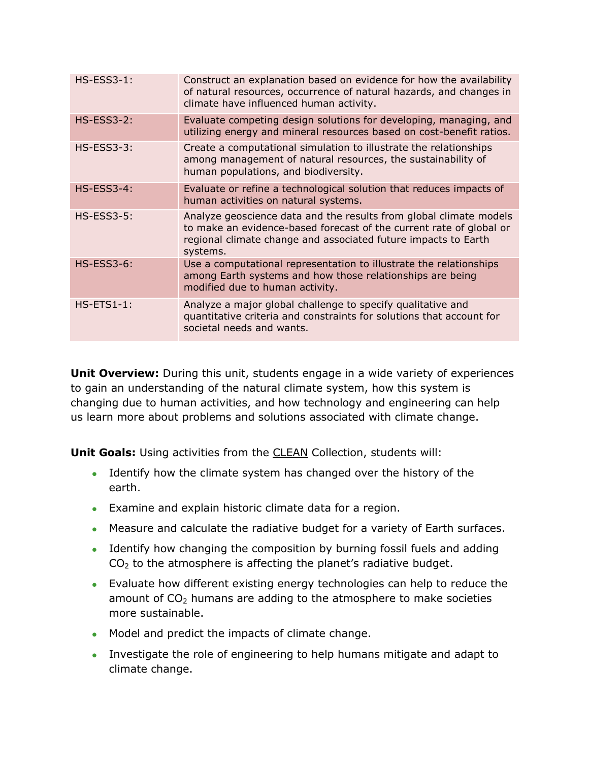| $HS$ -ESS3-1:     | Construct an explanation based on evidence for how the availability<br>of natural resources, occurrence of natural hazards, and changes in<br>climate have influenced human activity.                                   |
|-------------------|-------------------------------------------------------------------------------------------------------------------------------------------------------------------------------------------------------------------------|
| $HS$ -ESS3-2:     | Evaluate competing design solutions for developing, managing, and<br>utilizing energy and mineral resources based on cost-benefit ratios.                                                                               |
| $HS$ -ESS3-3:     | Create a computational simulation to illustrate the relationships<br>among management of natural resources, the sustainability of<br>human populations, and biodiversity.                                               |
| <b>HS-ESS3-4:</b> | Evaluate or refine a technological solution that reduces impacts of<br>human activities on natural systems.                                                                                                             |
| <b>HS-ESS3-5:</b> | Analyze geoscience data and the results from global climate models<br>to make an evidence-based forecast of the current rate of global or<br>regional climate change and associated future impacts to Earth<br>systems. |
| <b>HS-ESS3-6:</b> | Use a computational representation to illustrate the relationships<br>among Earth systems and how those relationships are being<br>modified due to human activity.                                                      |
| $HS-ETS1-1$ :     | Analyze a major global challenge to specify qualitative and<br>quantitative criteria and constraints for solutions that account for<br>societal needs and wants.                                                        |

**Unit Overview:** During this unit, students engage in a wide variety of experiences to gain an understanding of the natural climate system, how this system is changing due to human activities, and how technology and engineering can help us learn more about problems and solutions associated with climate change.

**Unit Goals:** Using activities from the [CLEAN](http://cleanet.org/index.html) Collection, students will:

- Identify how the climate system has changed over the history of the earth.
- Examine and explain historic climate data for a region.
- Measure and calculate the radiative budget for a variety of Earth surfaces.
- Identify how changing the composition by burning fossil fuels and adding  $CO<sub>2</sub>$  to the atmosphere is affecting the planet's radiative budget.
- Evaluate how different existing energy technologies can help to reduce the amount of  $CO<sub>2</sub>$  humans are adding to the atmosphere to make societies more sustainable.
- Model and predict the impacts of climate change.
- Investigate the role of engineering to help humans mitigate and adapt to climate change.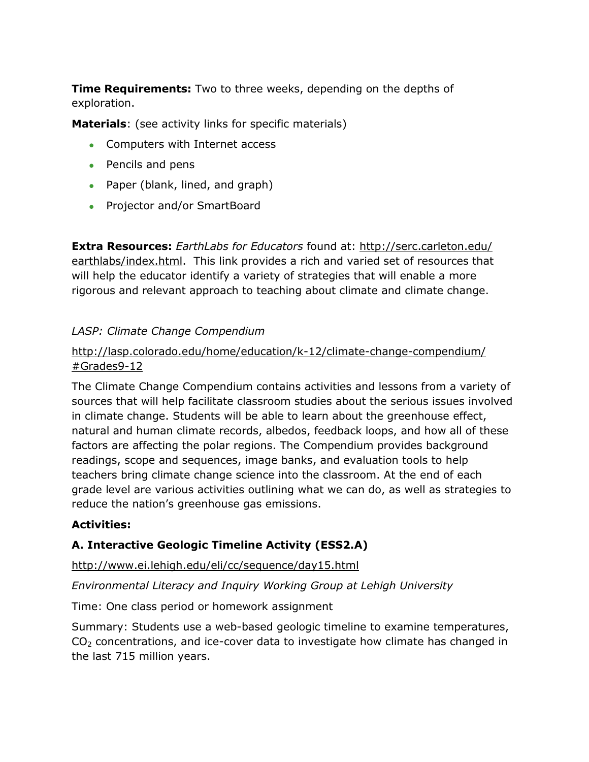**Time Requirements:** Two to three weeks, depending on the depths of exploration.

**Materials**: (see activity links for specific materials)

- Computers with Internet access
- Pencils and pens
- Paper (blank, lined, and graph)
- Projector and/or SmartBoard

**Extra Resources:** *EarthLabs for Educators* found at: [http://serc.carleton.edu/](http://serc.carleton.edu/earthlabs/index.html) [earthlabs/index.html.](http://serc.carleton.edu/earthlabs/index.html) This link provides a rich and varied set of resources that will help the educator identify a variety of strategies that will enable a more rigorous and relevant approach to teaching about climate and climate change.

# *LASP: Climate Change Compendium*

#### [http://lasp.colorado.edu/home/education/k-12/climate-change-compendium/](http://lasp.colorado.edu/home/education/k-12/climate-change-compendium/#Grades9-12) [#Grades9-12](http://lasp.colorado.edu/home/education/k-12/climate-change-compendium/#Grades9-12)

The Climate Change Compendium contains activities and lessons from a variety of sources that will help facilitate classroom studies about the serious issues involved in climate change. Students will be able to learn about the greenhouse effect, natural and human climate records, albedos, feedback loops, and how all of these factors are affecting the polar regions. The Compendium provides background readings, scope and sequences, image banks, and evaluation tools to help teachers bring climate change science into the classroom. At the end of each grade level are various activities outlining what we can do, as well as strategies to reduce the nation's greenhouse gas emissions.

#### **Activities:**

# **A. Interactive Geologic Timeline Activity (ESS2.A)**

<http://www.ei.lehigh.edu/eli/cc/sequence/day15.html>

*Environmental Literacy and Inquiry Working Group at Lehigh University*

Time: One class period or homework assignment

Summary: Students use a web-based geologic timeline to examine temperatures,  $CO<sub>2</sub>$  concentrations, and ice-cover data to investigate how climate has changed in the last 715 million years.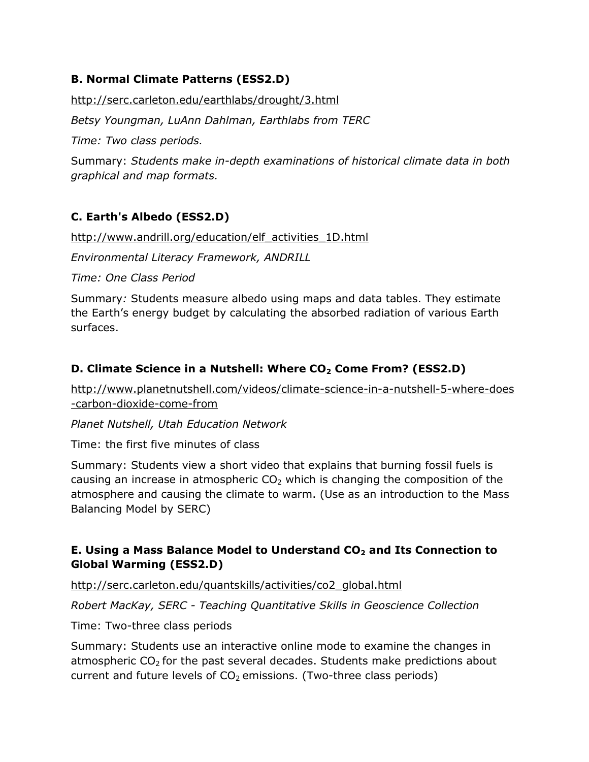# **B. Normal Climate Patterns (ESS2.D)**

<http://serc.carleton.edu/earthlabs/drought/3.html>

*Betsy Youngman, LuAnn Dahlman, Earthlabs from TERC*

*Time: Two class periods.*

Summary: *Students make in-depth examinations of historical climate data in both graphical and map formats.* 

# **C. Earth's Albedo (ESS2.D)**

[http://www.andrill.org/education/elf\\_activities\\_1D.html](http://www.andrill.org/education/elf_activities_1D.html)

*Environmental Literacy Framework, ANDRILL*

*Time: One Class Period*

Summary*:* Students measure albedo using maps and data tables. They estimate the Earth's energy budget by calculating the absorbed radiation of various Earth surfaces.

# **D. Climate Science in a Nutshell: Where CO<sup>2</sup> Come From? (ESS2.D)**

[http://www.planetnutshell.com/videos/climate-science-in-a-nutshell-5-where-does](http://www.planetnutshell.com/videos/climate-science-in-a-nutshell-5-where-does-carbon-dioxide-come-from) [-carbon-dioxide-come-from](http://www.planetnutshell.com/videos/climate-science-in-a-nutshell-5-where-does-carbon-dioxide-come-from)

*Planet Nutshell, Utah Education Network*

Time: the first five minutes of class

Summary: Students view a short video that explains that burning fossil fuels is causing an increase in atmospheric  $CO<sub>2</sub>$  which is changing the composition of the atmosphere and causing the climate to warm. (Use as an introduction to the Mass Balancing Model by SERC)

# **E. Using a Mass Balance Model to Understand CO<sup>2</sup> and Its Connection to Global Warming (ESS2.D)**

[http://serc.carleton.edu/quantskills/activities/co2\\_global.html](http://serc.carleton.edu/quantskills/activities/co2_global.html)

*Robert MacKay, SERC - Teaching Quantitative Skills in Geoscience Collection*

Time: Two-three class periods

Summary: Students use an interactive online mode to examine the changes in atmospheric  $CO<sub>2</sub>$  for the past several decades. Students make predictions about current and future levels of  $CO<sub>2</sub>$  emissions. (Two-three class periods)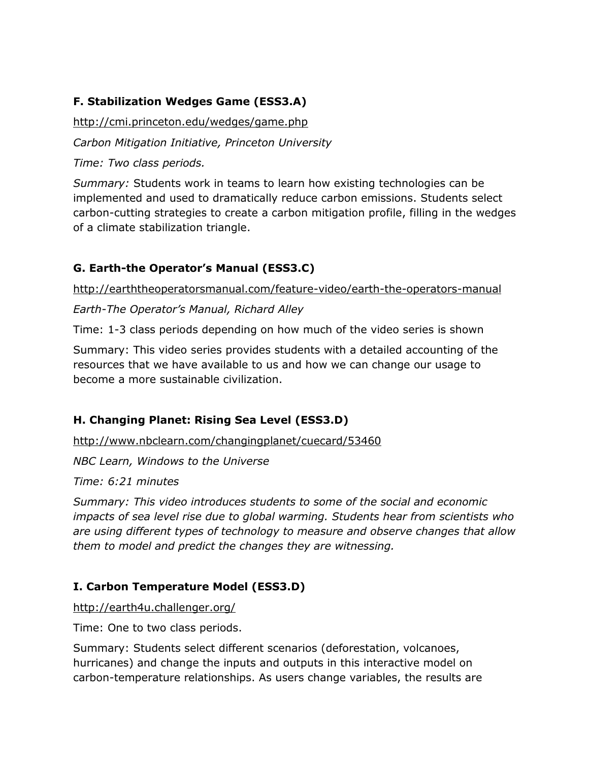# **F. Stabilization Wedges Game (ESS3.A)**

<http://cmi.princeton.edu/wedges/game.php>

*Carbon Mitigation Initiative, Princeton University*

*Time: Two class periods.* 

*Summary:* Students work in teams to learn how existing technologies can be implemented and used to dramatically reduce carbon emissions. Students select carbon-cutting strategies to create a carbon mitigation profile, filling in the wedges of a climate stabilization triangle.

# **G. Earth-the Operator's Manual (ESS3.C)**

<http://earththeoperatorsmanual.com/feature-video/earth-the-operators-manual>

*Earth-The Operator's Manual, Richard Alley*

Time: 1-3 class periods depending on how much of the video series is shown

Summary: This video series provides students with a detailed accounting of the resources that we have available to us and how we can change our usage to become a more sustainable civilization.

# **H. Changing Planet: Rising Sea Level (ESS3.D)**

<http://www.nbclearn.com/changingplanet/cuecard/53460>

*NBC Learn, Windows to the Universe*

*Time: 6:21 minutes*

*Summary: This video introduces students to some of the social and economic impacts of sea level rise due to global warming. Students hear from scientists who are using different types of technology to measure and observe changes that allow them to model and predict the changes they are witnessing.* 

# **I. Carbon Temperature Model (ESS3.D)**

<http://earth4u.challenger.org/>

Time: One to two class periods.

Summary: Students select different scenarios (deforestation, volcanoes, hurricanes) and change the inputs and outputs in this interactive model on carbon-temperature relationships. As users change variables, the results are